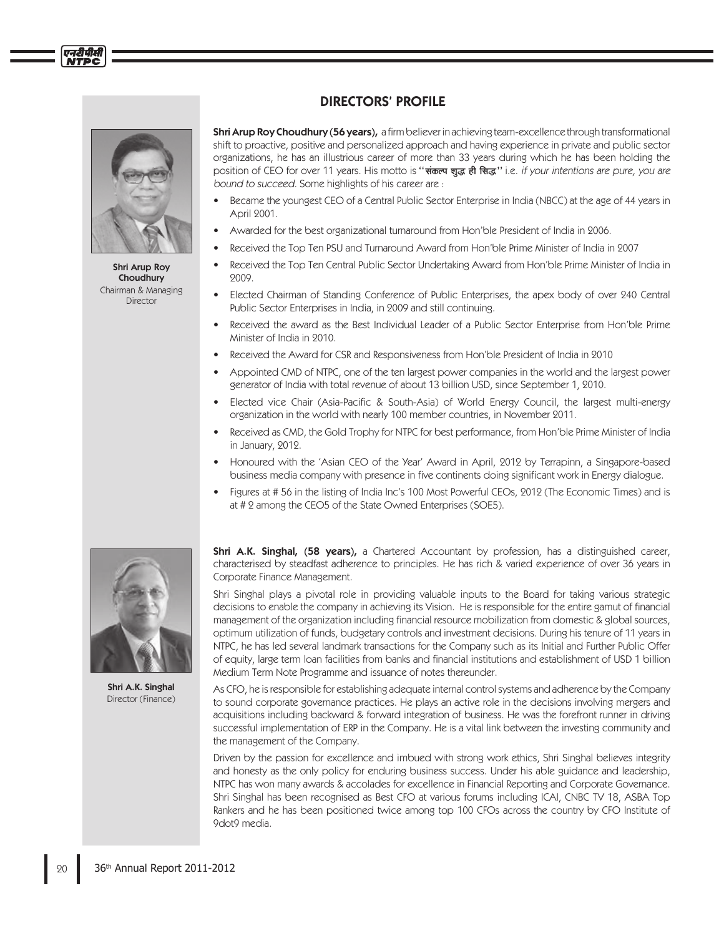

एनदीपीसी

Shri Arup Roy Choudhury Chairman & Managing Director

## DIRECTORS' PROFILE

Shri Arup Roy Choudhury (56 years), a firm believer in achieving team-excellence through transformational shift to proactive, positive and personalized approach and having experience in private and public sector organizations, he has an illustrious career of more than 33 years during which he has been holding the position of CEO for over 11 years. His motto is "**संकल्प शुद्ध ही सिद्ध**" i.e. if your intentions are pure, you are bound to succeed. Some highlights of his career are :

- Became the youngest CEO of a Central Public Sector Enterprise in India (NBCC) at the age of 44 years in April 2001.
- Awarded for the best organizational turnaround from Hon'ble President of India in 2006.
- Received the Top Ten PSU and Turnaround Award from Hon'ble Prime Minister of India in 2007
- Received the Top Ten Central Public Sector Undertaking Award from Hon'ble Prime Minister of India in 2009.
- Elected Chairman of Standing Conference of Public Enterprises, the apex body of over 240 Central Public Sector Enterprises in India, in 2009 and still continuing.
- Received the award as the Best Individual Leader of a Public Sector Enterprise from Hon'ble Prime Minister of India in 2010.
- Received the Award for CSR and Responsiveness from Hon'ble President of India in 2010
- Appointed CMD of NTPC, one of the ten largest power companies in the world and the largest power generator of India with total revenue of about 13 billion USD, since September 1, 2010.
- Elected vice Chair (Asia-Pacifi c & South-Asia) of World Energy Council, the largest multi-energy organization in the world with nearly 100 member countries, in November 2011.
- Received as CMD, the Gold Trophy for NTPC for best performance, from Hon'ble Prime Minister of India in January, 2012.
- Honoured with the 'Asian CEO of the Year' Award in April, 2012 by Terrapinn, a Singapore-based business media company with presence in five continents doing significant work in Energy dialogue.
- Figures at # 56 in the listing of India Inc's 100 Most Powerful CEOs, 2012 (The Economic Times) and is at # 2 among the CEO5 of the State Owned Enterprises (SOE5).



Shri A.K. Singhal Director (Finance)

Shri A.K. Singhal, (58 years), a Chartered Accountant by profession, has a distinguished career, characterised by steadfast adherence to principles. He has rich & varied experience of over 36 years in Corporate Finance Management.

Shri Singhal plays a pivotal role in providing valuable inputs to the Board for taking various strategic decisions to enable the company in achieving its Vision. He is responsible for the entire gamut of financial management of the organization including financial resource mobilization from domestic & global sources, optimum utilization of funds, budgetary controls and investment decisions. During his tenure of 11 years in NTPC, he has led several landmark transactions for the Company such as its Initial and Further Public Offer of equity, large term loan facilities from banks and financial institutions and establishment of USD 1 billion Medium Term Note Programme and issuance of notes thereunder.

As CFO, he is responsible for establishing adequate internal control systems and adherence by the Company to sound corporate governance practices. He plays an active role in the decisions involving mergers and acquisitions including backward & forward integration of business. He was the forefront runner in driving successful implementation of ERP in the Company. He is a vital link between the investing community and the management of the Company.

Driven by the passion for excellence and imbued with strong work ethics, Shri Singhal believes integrity and honesty as the only policy for enduring business success. Under his able guidance and leadership, NTPC has won many awards & accolades for excellence in Financial Reporting and Corporate Governance. Shri Singhal has been recognised as Best CFO at various forums including ICAI, CNBC TV 18, ASBA Top Rankers and he has been positioned twice among top 100 CFOs across the country by CFO Institute of 9dot9 media.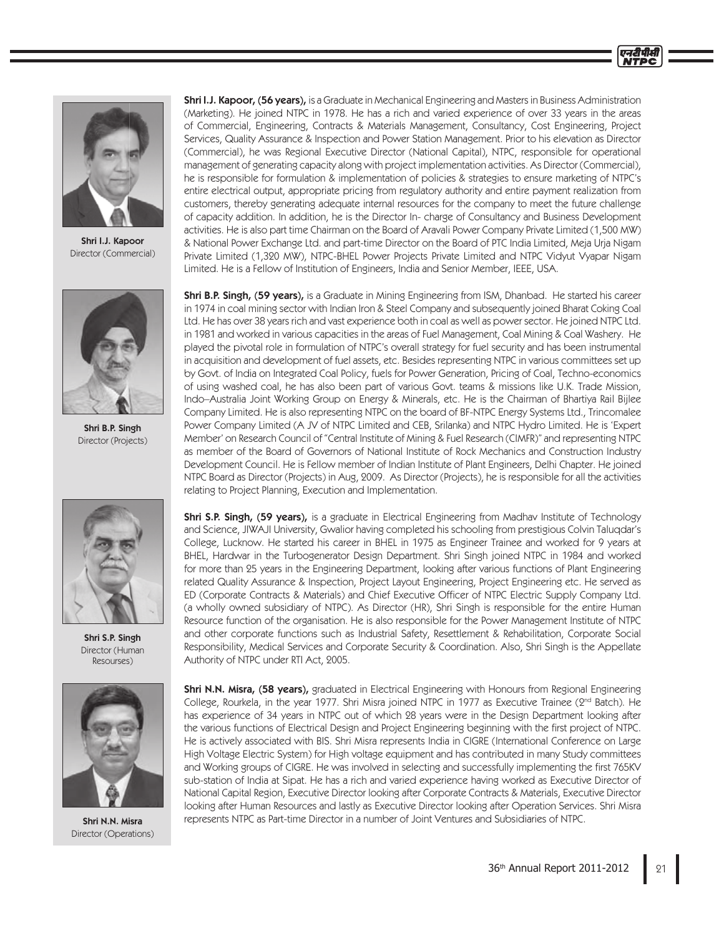

Shri I.J. Kapoor Director (Commercial)



Shri B.P. Singh Director (Projects)



Shri S.P. Singh Director (Human Resourses)



Shri N.N. Misra Director (Operations)

**Shri I.J. Kapoor, (56 years), is a Graduate in Mechanical Engineering and Masters in Business Administration** (Marketing). He joined NTPC in 1978. He has a rich and varied experience of over 33 years in the areas of Commercial, Engineering, Contracts & Materials Management, Consultancy, Cost Engineering, Project Services, Quality Assurance & Inspection and Power Station Management. Prior to his elevation as Director (Commercial), he was Regional Executive Director (National Capital), NTPC, responsible for operational management of generating capacity along with project implementation activities. As Director (Commercial), he is responsible for formulation & implementation of policies & strategies to ensure marketing of NTPC's entire electrical output, appropriate pricing from regulatory authority and entire payment realization from customers, thereby generating adequate internal resources for the company to meet the future challenge of capacity addition. In addition, he is the Director In- charge of Consultancy and Business Development activities. He is also part time Chairman on the Board of Aravali Power Company Private Limited (1,500 MW) & National Power Exchange Ltd. and part-time Director on the Board of PTC India Limited, Meja Urja Nigam Private Limited (1,320 MW), NTPC-BHEL Power Projects Private Limited and NTPC Vidyut Vyapar Nigam Limited. He is a Fellow of Institution of Engineers, India and Senior Member, IEEE, USA.

Shri B.P. Singh, (59 years), is a Graduate in Mining Engineering from ISM, Dhanbad. He started his career in 1974 in coal mining sector with Indian Iron & Steel Company and subsequently joined Bharat Coking Coal Ltd. He has over 38 years rich and vast experience both in coal as well as power sector. He joined NTPC Ltd. in 1981 and worked in various capacities in the areas of Fuel Management, Coal Mining & Coal Washery. He played the pivotal role in formulation of NTPC's overall strategy for fuel security and has been instrumental in acquisition and development of fuel assets, etc. Besides representing NTPC in various committees set up by Govt. of India on Integrated Coal Policy, fuels for Power Generation, Pricing of Coal, Techno-economics of using washed coal, he has also been part of various Govt. teams & missions like U.K. Trade Mission, Indo–Australia Joint Working Group on Energy & Minerals, etc. He is the Chairman of Bhartiya Rail Bijlee Company Limited. He is also representing NTPC on the board of BF-NTPC Energy Systems Ltd., Trincomalee Power Company Limited (A JV of NTPC Limited and CEB, Srilanka) and NTPC Hydro Limited. He is 'Expert Member' on Research Council of "Central Institute of Mining & Fuel Research (CIMFR)" and representing NTPC as member of the Board of Governors of National Institute of Rock Mechanics and Construction Industry Development Council. He is Fellow member of Indian Institute of Plant Engineers, Delhi Chapter. He joined NTPC Board as Director (Projects) in Aug, 2009. As Director (Projects), he is responsible for all the activities relating to Project Planning, Execution and Implementation.

Shri S.P. Singh, (59 years), is a graduate in Electrical Engineering from Madhav Institute of Technology and Science, JIWAJI University, Gwalior having completed his schooling from prestigious Colvin Taluqdar's College, Lucknow. He started his career in BHEL in 1975 as Engineer Trainee and worked for 9 years at BHEL, Hardwar in the Turbogenerator Design Department. Shri Singh joined NTPC in 1984 and worked for more than 25 years in the Engineering Department, looking after various functions of Plant Engineering related Quality Assurance & Inspection, Project Layout Engineering, Project Engineering etc. He served as ED (Corporate Contracts & Materials) and Chief Executive Officer of NTPC Electric Supply Company Ltd. (a wholly owned subsidiary of NTPC). As Director (HR), Shri Singh is responsible for the entire Human Resource function of the organisation. He is also responsible for the Power Management Institute of NTPC and other corporate functions such as Industrial Safety, Resettlement & Rehabilitation, Corporate Social Responsibility, Medical Services and Corporate Security & Coordination. Also, Shri Singh is the Appellate Authority of NTPC under RTI Act, 2005.

Shri N.N. Misra, (58 years), graduated in Electrical Engineering with Honours from Regional Engineering College, Rourkela, in the year 1977. Shri Misra joined NTPC in 1977 as Executive Trainee (2<sup>nd</sup> Batch). He has experience of 34 years in NTPC out of which 28 years were in the Design Department looking after the various functions of Electrical Design and Project Engineering beginning with the first project of NTPC. He is actively associated with BIS. Shri Misra represents India in CIGRE (International Conference on Large High Voltage Electric System) for High voltage equipment and has contributed in many Study committees and Working groups of CIGRE. He was involved in selecting and successfully implementing the first 765KV sub-station of India at Sipat. He has a rich and varied experience having worked as Executive Director of National Capital Region, Executive Director looking after Corporate Contracts & Materials, Executive Director looking after Human Resources and lastly as Executive Director looking after Operation Services. Shri Misra represents NTPC as Part-time Director in a number of Joint Ventures and Subsidiaries of NTPC.

एनटीपीसी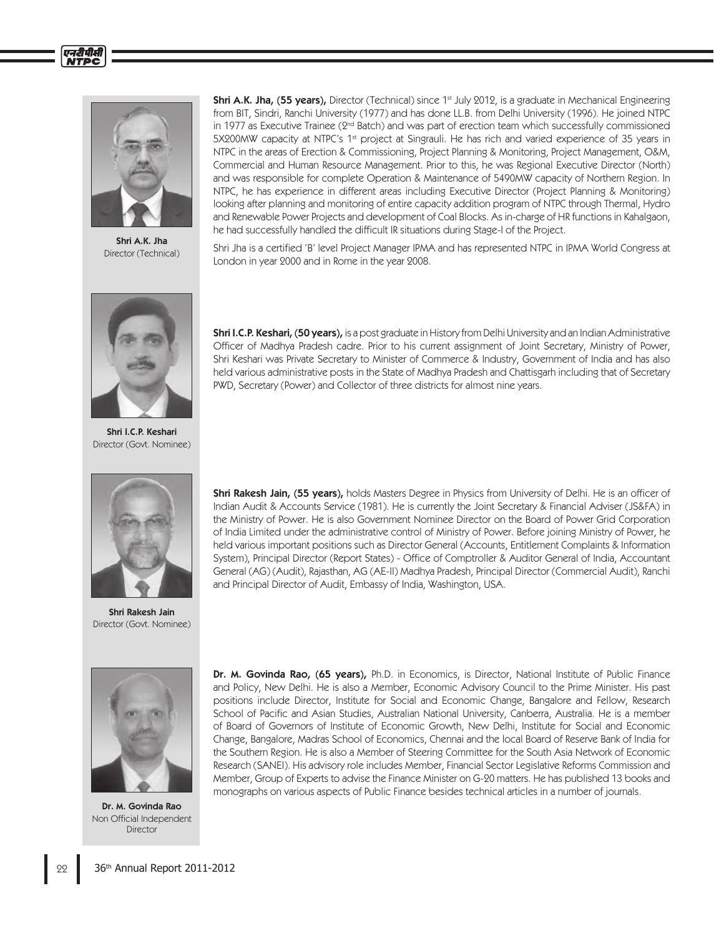



Shri A.K. Jha Director (Technical)



Shri I.C.P. Keshari Director (Govt. Nominee)



Shri Rakesh Jain Director (Govt. Nominee)



Dr. M. Govinda Rao Non Official Independent Director

Shri A.K. Jha, (55 years), Director (Technical) since 1<sup>st</sup> July 2012, is a graduate in Mechanical Engineering from BIT, Sindri, Ranchi University (1977) and has done LL.B. from Delhi University (1996). He joined NTPC in 1977 as Executive Trainee (2<sup>nd</sup> Batch) and was part of erection team which successfully commissioned 5X200MW capacity at NTPC's 1<sup>st</sup> project at Singrauli. He has rich and varied experience of 35 years in NTPC in the areas of Erection & Commissioning, Project Planning & Monitoring, Project Management, O&M, Commercial and Human Resource Management. Prior to this, he was Regional Executive Director (North) and was responsible for complete Operation & Maintenance of 5490MW capacity of Northern Region. In NTPC, he has experience in different areas including Executive Director (Project Planning & Monitoring) looking after planning and monitoring of entire capacity addition program of NTPC through Thermal, Hydro and Renewable Power Projects and development of Coal Blocks. As in-charge of HR functions in Kahalgaon, he had successfully handled the difficult IR situations during Stage-I of the Project.

Shri Jha is a certified 'B' level Project Manager IPMA and has represented NTPC in IPMA World Congress at London in year 2000 and in Rome in the year 2008.

Shri I.C.P. Keshari, (50 years), is a post graduate in History from Delhi University and an Indian Administrative Officer of Madhya Pradesh cadre. Prior to his current assignment of Joint Secretary, Ministry of Power, Shri Keshari was Private Secretary to Minister of Commerce & Industry, Government of India and has also held various administrative posts in the State of Madhya Pradesh and Chattisgarh including that of Secretary PWD, Secretary (Power) and Collector of three districts for almost nine years.

Shri Rakesh Jain, (55 years), holds Masters Degree in Physics from University of Delhi. He is an officer of Indian Audit & Accounts Service (1981). He is currently the Joint Secretary & Financial Adviser (JS&FA) in the Ministry of Power. He is also Government Nominee Director on the Board of Power Grid Corporation of India Limited under the administrative control of Ministry of Power. Before joining Ministry of Power, he held various important positions such as Director General (Accounts, Entitlement Complaints & Information System), Principal Director (Report States) - Office of Comptroller & Auditor General of India, Accountant General (AG) (Audit), Rajasthan, AG (AE-II) Madhya Pradesh, Principal Director (Commercial Audit), Ranchi and Principal Director of Audit, Embassy of India, Washington, USA.

Dr. M. Govinda Rao, (65 years), Ph.D. in Economics, is Director, National Institute of Public Finance and Policy, New Delhi. He is also a Member, Economic Advisory Council to the Prime Minister. His past positions include Director, Institute for Social and Economic Change, Bangalore and Fellow, Research School of Pacific and Asian Studies, Australian National University, Canberra, Australia. He is a member of Board of Governors of Institute of Economic Growth, New Delhi, Institute for Social and Economic Change, Bangalore, Madras School of Economics, Chennai and the local Board of Reserve Bank of India for the Southern Region. He is also a Member of Steering Committee for the South Asia Network of Economic Research (SANEI). His advisory role includes Member, Financial Sector Legislative Reforms Commission and Member, Group of Experts to advise the Finance Minister on G-20 matters. He has published 13 books and monographs on various aspects of Public Finance besides technical articles in a number of journals.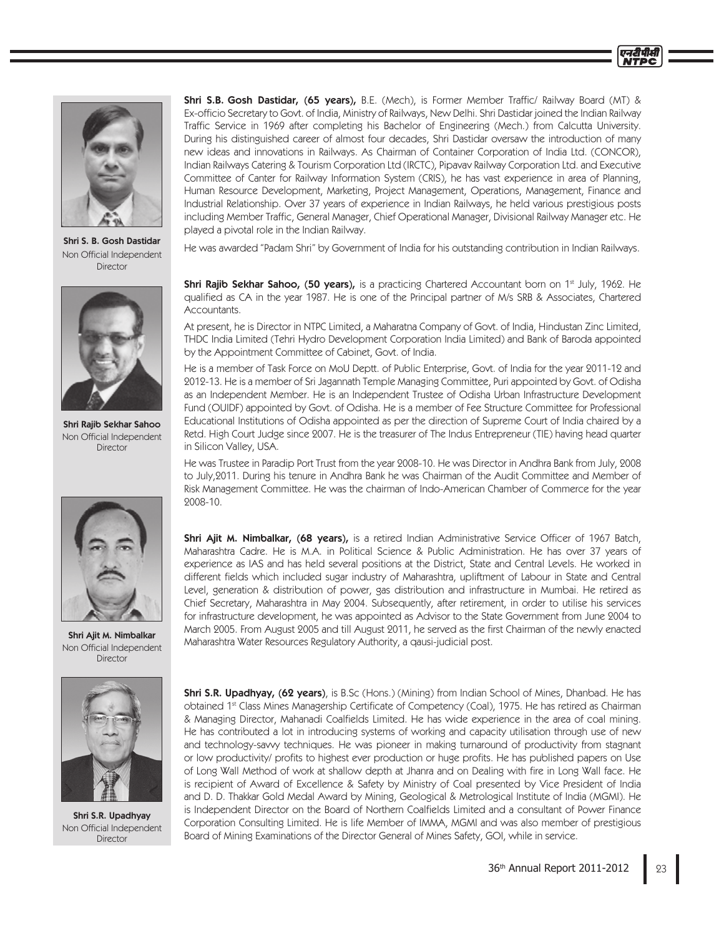

Shri S. B. Gosh Dastidar Non Official Independent Director



Shri Rajib Sekhar Sahoo Non Official Independent **Director** 



Shri Ajit M. Nimbalkar Non Official Independent Director



Shri S.R. Upadhyay Non Official Independent **Director** 

**Shri S.B. Gosh Dastidar, (65 years),** B.E. (Mech), is Former Member Traffic/ Railway Board (MT) & Ex-officio Secretary to Govt. of India, Ministry of Railways, New Delhi. Shri Dastidar joined the Indian Railway Traffic Service in 1969 after completing his Bachelor of Engineering (Mech.) from Calcutta University. During his distinguished career of almost four decades, Shri Dastidar oversaw the introduction of many new ideas and innovations in Railways. As Chairman of Container Corporation of India Ltd. (CONCOR), Indian Railways Catering & Tourism Corporation Ltd (IRCTC), Pipavav Railway Corporation Ltd. and Executive Committee of Canter for Railway Information System (CRIS), he has vast experience in area of Planning, Human Resource Development, Marketing, Project Management, Operations, Management, Finance and Industrial Relationship. Over 37 years of experience in Indian Railways, he held various prestigious posts including Member Traffic, General Manager, Chief Operational Manager, Divisional Railway Manager etc. He played a pivotal role in the Indian Railway.

He was awarded "Padam Shri" by Government of India for his outstanding contribution in Indian Railways.

Shri Rajib Sekhar Sahoo, (50 years), is a practicing Chartered Accountant born on 1st July, 1962. He qualified as CA in the year 1987. He is one of the Principal partner of M/s SRB & Associates, Chartered Accountants.

At present, he is Director in NTPC Limited, a Maharatna Company of Govt. of India, Hindustan Zinc Limited, THDC India Limited (Tehri Hydro Development Corporation India Limited) and Bank of Baroda appointed by the Appointment Committee of Cabinet, Govt. of India.

He is a member of Task Force on MoU Deptt. of Public Enterprise, Govt. of India for the year 2011-12 and 2012-13. He is a member of Sri Jagannath Temple Managing Committee, Puri appointed by Govt. of Odisha as an Independent Member. He is an Independent Trustee of Odisha Urban Infrastructure Development Fund (OUIDF) appointed by Govt. of Odisha. He is a member of Fee Structure Committee for Professional Educational Institutions of Odisha appointed as per the direction of Supreme Court of India chaired by a Retd. High Court Judge since 2007. He is the treasurer of The Indus Entrepreneur (TIE) having head quarter in Silicon Valley, USA.

He was Trustee in Paradip Port Trust from the year 2008-10. He was Director in Andhra Bank from July, 2008 to July,2011. During his tenure in Andhra Bank he was Chairman of the Audit Committee and Member of Risk Management Committee. He was the chairman of Indo-American Chamber of Commerce for the year 2008-10.

Shri Ajit M. Nimbalkar, (68 years), is a retired Indian Administrative Service Officer of 1967 Batch, Maharashtra Cadre. He is M.A. in Political Science & Public Administration. He has over 37 years of experience as IAS and has held several positions at the District, State and Central Levels. He worked in different fields which included sugar industry of Maharashtra, upliftment of Labour in State and Central Level, generation & distribution of power, gas distribution and infrastructure in Mumbai. He retired as Chief Secretary, Maharashtra in May 2004. Subsequently, after retirement, in order to utilise his services for infrastructure development, he was appointed as Advisor to the State Government from June 2004 to March 2005. From August 2005 and till August 2011, he served as the first Chairman of the newly enacted Maharashtra Water Resources Regulatory Authority, a qausi-judicial post.

Shri S.R. Upadhyay, (62 years), is B.Sc (Hons.) (Mining) from Indian School of Mines, Dhanbad. He has obtained 1st Class Mines Managership Certificate of Competency (Coal), 1975. He has retired as Chairman & Managing Director, Mahanadi Coalfields Limited. He has wide experience in the area of coal mining. He has contributed a lot in introducing systems of working and capacity utilisation through use of new and technology-savvy techniques. He was pioneer in making turnaround of productivity from stagnant or low productivity/ profits to highest ever production or huge profits. He has published papers on Use of Long Wall Method of work at shallow depth at Jhanra and on Dealing with fire in Long Wall face. He is recipient of Award of Excellence & Safety by Ministry of Coal presented by Vice President of India and D. D. Thakkar Gold Medal Award by Mining, Geological & Metrological Institute of India (MGMI). He is Independent Director on the Board of Northern Coalfields Limited and a consultant of Power Finance Corporation Consulting Limited. He is life Member of IMMA, MGMI and was also member of prestigious Board of Mining Examinations of the Director General of Mines Safety, GOI, while in service.

एनटी पीस